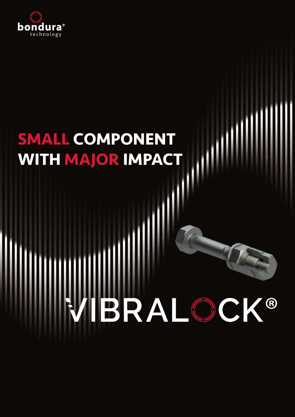

# **SMALL COMPONENT WITH MAJOR IMPACT**

#### **BRA** ® K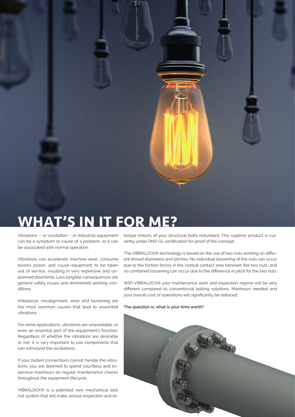

## **WHAT'S IN IT FOR ME?**

Vibrations – or oscillation - in industrial equipment can be a symptom or cause of a problem, or it can be associated with normal operation.

Vibrations can accelerate machine wear, consume excess power, and cause equipment to be taken out of service, resulting in very expensive and unplanned downtime. Less tangible consequences are general safety issues and diminished working conditions.

Imbalance, misalignment, wear and loosening are the most common causes that lead to unwanted vibrations.

For some applications, vibrations are unavoidable, or even an essential part of the equipment's function. Regardless of whether the vibrations are desirable or not, it is very important to use components that can withstand the oscillations.

If your bolted connections cannot handle the vibrations, you are doomed to spend countless and expensive manhours on regular maintenance checks throughout the equipment lifecycle.

VIBRALOCK® is a patented new mechanical lock nut system that will make annual inspection and retorque checks of your structural bolts redundant. This superior product is currently under DNV GL certification for proof of the concept.

The VIBRALOCK® technology is based on the use of two nuts working on different thread diameters and pitches. No individual loosening of the nuts can occur due to the friction forces in the conical contact area between the two nuts, and no combined loosening can occur due to the difference in pitch for the two nuts.

With VIBRALOCK® your maintenance work and inspection regime will be very different compared to conventional bolting solutions. Manhours needed and your overall cost of operations will significantly be reduced.

**The question is; what is your time worth?**

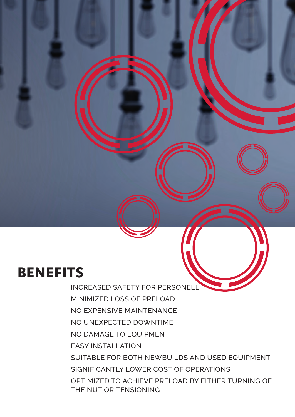## **BENEFITS**

INCREASED SAFETY FOR PERSONELL MINIMIZED LOSS OF PRELOAD NO EXPENSIVE MAINTENANCE NO UNEXPECTED DOWNTIME NO DAMAGE TO EQUIPMENT EASY INSTALLATION SUITABLE FOR BOTH NEWBUILDS AND USED EQUIPMENT SIGNIFICANTLY LOWER COST OF OPERATIONS OPTIMIZED TO ACHIEVE PRELOAD BY EITHER TURNING OF THE NUT OR TENSIONING